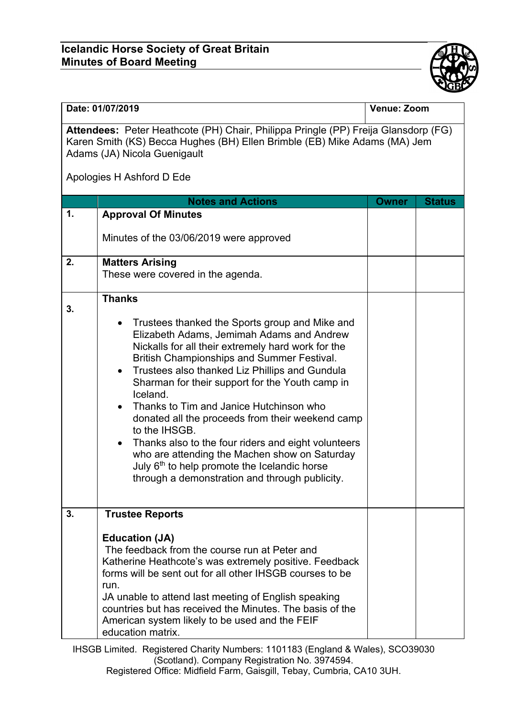## **Icelandic Horse Society of Great Britain Minutes of Board Meeting**



| Date: 01/07/2019                                                                                                                                                                                |                                                                                                                                                                                                                                                                                                                                                                                                                                                                                                                                                                                                                                                                                                                | Venue: Zoom  |               |  |
|-------------------------------------------------------------------------------------------------------------------------------------------------------------------------------------------------|----------------------------------------------------------------------------------------------------------------------------------------------------------------------------------------------------------------------------------------------------------------------------------------------------------------------------------------------------------------------------------------------------------------------------------------------------------------------------------------------------------------------------------------------------------------------------------------------------------------------------------------------------------------------------------------------------------------|--------------|---------------|--|
| Attendees: Peter Heathcote (PH) Chair, Philippa Pringle (PP) Freija Glansdorp (FG)<br>Karen Smith (KS) Becca Hughes (BH) Ellen Brimble (EB) Mike Adams (MA) Jem<br>Adams (JA) Nicola Guenigault |                                                                                                                                                                                                                                                                                                                                                                                                                                                                                                                                                                                                                                                                                                                |              |               |  |
|                                                                                                                                                                                                 | Apologies H Ashford D Ede                                                                                                                                                                                                                                                                                                                                                                                                                                                                                                                                                                                                                                                                                      |              |               |  |
|                                                                                                                                                                                                 | <b>Notes and Actions</b>                                                                                                                                                                                                                                                                                                                                                                                                                                                                                                                                                                                                                                                                                       | <b>Owner</b> | <b>Status</b> |  |
| 1.                                                                                                                                                                                              | <b>Approval Of Minutes</b><br>Minutes of the 03/06/2019 were approved                                                                                                                                                                                                                                                                                                                                                                                                                                                                                                                                                                                                                                          |              |               |  |
| 2.                                                                                                                                                                                              | <b>Matters Arising</b><br>These were covered in the agenda.                                                                                                                                                                                                                                                                                                                                                                                                                                                                                                                                                                                                                                                    |              |               |  |
| 3.                                                                                                                                                                                              | <b>Thanks</b><br>Trustees thanked the Sports group and Mike and<br>$\bullet$<br>Elizabeth Adams, Jemimah Adams and Andrew<br>Nickalls for all their extremely hard work for the<br>British Championships and Summer Festival.<br>Trustees also thanked Liz Phillips and Gundula<br>$\bullet$<br>Sharman for their support for the Youth camp in<br>Iceland.<br>Thanks to Tim and Janice Hutchinson who<br>donated all the proceeds from their weekend camp<br>to the IHSGB.<br>Thanks also to the four riders and eight volunteers<br>$\bullet$<br>who are attending the Machen show on Saturday<br>July 6 <sup>th</sup> to help promote the Icelandic horse<br>through a demonstration and through publicity. |              |               |  |
| 3.                                                                                                                                                                                              | <b>Trustee Reports</b><br><b>Education (JA)</b><br>The feedback from the course run at Peter and<br>Katherine Heathcote's was extremely positive. Feedback<br>forms will be sent out for all other IHSGB courses to be<br>run.<br>JA unable to attend last meeting of English speaking<br>countries but has received the Minutes. The basis of the<br>American system likely to be used and the FEIF<br>education matrix.                                                                                                                                                                                                                                                                                      |              |               |  |

IHSGB Limited. Registered Charity Numbers: 1101183 (England & Wales), SCO39030 (Scotland). Company Registration No. 3974594.

Registered Office: Midfield Farm, Gaisgill, Tebay, Cumbria, CA10 3UH.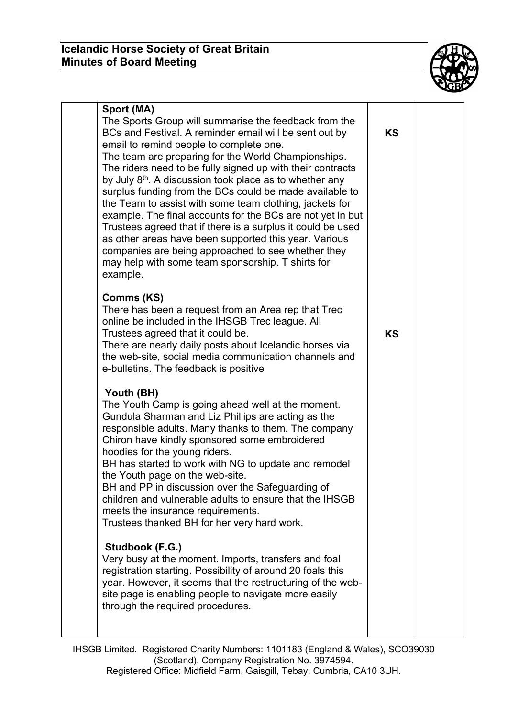

| Sport (MA)<br>The Sports Group will summarise the feedback from the<br>BCs and Festival. A reminder email will be sent out by<br>email to remind people to complete one.<br>The team are preparing for the World Championships.<br>The riders need to be fully signed up with their contracts<br>by July $8th$ . A discussion took place as to whether any<br>surplus funding from the BCs could be made available to<br>the Team to assist with some team clothing, jackets for<br>example. The final accounts for the BCs are not yet in but<br>Trustees agreed that if there is a surplus it could be used<br>as other areas have been supported this year. Various<br>companies are being approached to see whether they<br>may help with some team sponsorship. T shirts for<br>example. | <b>KS</b> |  |
|-----------------------------------------------------------------------------------------------------------------------------------------------------------------------------------------------------------------------------------------------------------------------------------------------------------------------------------------------------------------------------------------------------------------------------------------------------------------------------------------------------------------------------------------------------------------------------------------------------------------------------------------------------------------------------------------------------------------------------------------------------------------------------------------------|-----------|--|
| <b>Comms (KS)</b><br>There has been a request from an Area rep that Trec<br>online be included in the IHSGB Trec league. All<br>Trustees agreed that it could be.<br>There are nearly daily posts about Icelandic horses via<br>the web-site, social media communication channels and<br>e-bulletins. The feedback is positive                                                                                                                                                                                                                                                                                                                                                                                                                                                                | <b>KS</b> |  |
| Youth (BH)<br>The Youth Camp is going ahead well at the moment.<br>Gundula Sharman and Liz Phillips are acting as the<br>responsible adults. Many thanks to them. The company<br>Chiron have kindly sponsored some embroidered<br>hoodies for the young riders.<br>BH has started to work with NG to update and remodel<br>the Youth page on the web-site.<br>BH and PP in discussion over the Safeguarding of<br>children and vulnerable adults to ensure that the IHSGB<br>meets the insurance requirements.<br>Trustees thanked BH for her very hard work.                                                                                                                                                                                                                                 |           |  |
| Studbook (F.G.)<br>Very busy at the moment. Imports, transfers and foal<br>registration starting. Possibility of around 20 foals this<br>year. However, it seems that the restructuring of the web-<br>site page is enabling people to navigate more easily<br>through the required procedures.                                                                                                                                                                                                                                                                                                                                                                                                                                                                                               |           |  |

IHSGB Limited. Registered Charity Numbers: 1101183 (England & Wales), SCO39030 (Scotland). Company Registration No. 3974594. Registered Office: Midfield Farm, Gaisgill, Tebay, Cumbria, CA10 3UH.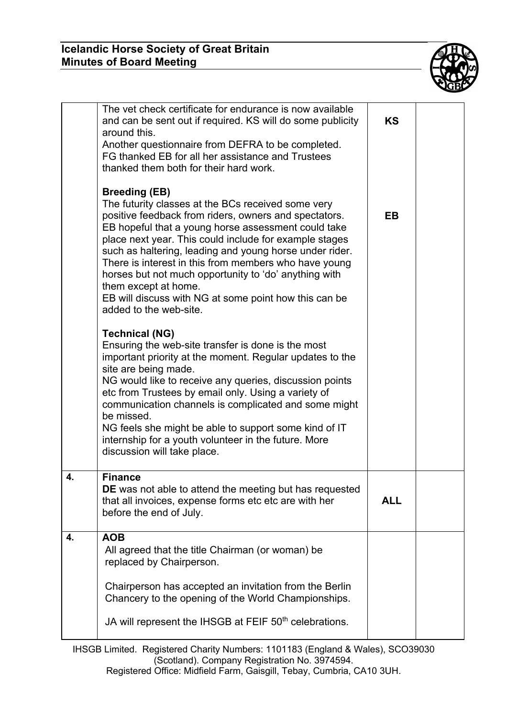

|    | The vet check certificate for endurance is now available<br>and can be sent out if required. KS will do some publicity<br>around this.<br>Another questionnaire from DEFRA to be completed.<br>FG thanked EB for all her assistance and Trustees<br>thanked them both for their hard work.                                                                                                                                                                                                                                                   | <b>KS</b>  |  |
|----|----------------------------------------------------------------------------------------------------------------------------------------------------------------------------------------------------------------------------------------------------------------------------------------------------------------------------------------------------------------------------------------------------------------------------------------------------------------------------------------------------------------------------------------------|------------|--|
|    | <b>Breeding (EB)</b><br>The futurity classes at the BCs received some very<br>positive feedback from riders, owners and spectators.<br>EB hopeful that a young horse assessment could take<br>place next year. This could include for example stages<br>such as haltering, leading and young horse under rider.<br>There is interest in this from members who have young<br>horses but not much opportunity to 'do' anything with<br>them except at home.<br>EB will discuss with NG at some point how this can be<br>added to the web-site. | EB         |  |
|    | <b>Technical (NG)</b><br>Ensuring the web-site transfer is done is the most<br>important priority at the moment. Regular updates to the<br>site are being made.<br>NG would like to receive any queries, discussion points<br>etc from Trustees by email only. Using a variety of<br>communication channels is complicated and some might<br>be missed.<br>NG feels she might be able to support some kind of IT<br>internship for a youth volunteer in the future. More<br>discussion will take place.                                      |            |  |
| 4. | <b>Finance</b><br>DE was not able to attend the meeting but has requested<br>that all invoices, expense forms etc etc are with her<br>before the end of July.                                                                                                                                                                                                                                                                                                                                                                                | <b>ALL</b> |  |
| 4. | <b>AOB</b><br>All agreed that the title Chairman (or woman) be<br>replaced by Chairperson.<br>Chairperson has accepted an invitation from the Berlin<br>Chancery to the opening of the World Championships.<br>JA will represent the IHSGB at FEIF 50 <sup>th</sup> celebrations.                                                                                                                                                                                                                                                            |            |  |

IHSGB Limited. Registered Charity Numbers: 1101183 (England & Wales), SCO39030 (Scotland). Company Registration No. 3974594.

Registered Office: Midfield Farm, Gaisgill, Tebay, Cumbria, CA10 3UH.